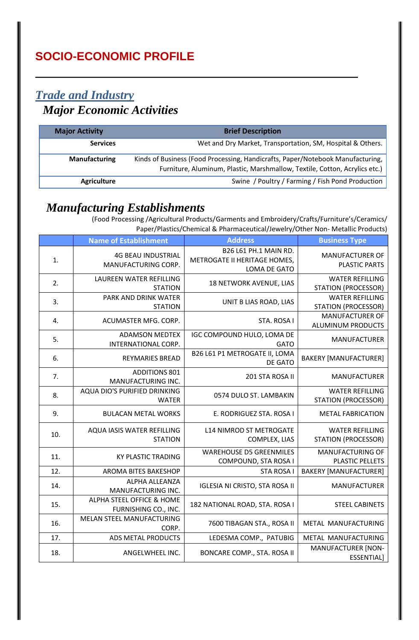# *Trade and Industry Major Economic Activities*

| <b>Major Activity</b> | <b>Brief Description</b>                                                       |
|-----------------------|--------------------------------------------------------------------------------|
| <b>Services</b>       | Wet and Dry Market, Transportation, SM, Hospital & Others.                     |
| <b>Manufacturing</b>  | Kinds of Business (Food Processing, Handicrafts, Paper/Notebook Manufacturing, |
|                       | Furniture, Aluminum, Plastic, Marshmallow, Textile, Cotton, Acrylics etc.)     |
| <b>Agriculture</b>    | Swine / Poultry / Farming / Fish Pond Production                               |

#### *Manufacturing Establishments*

 (Food Processing /Agricultural Products/Garments and Embroidery/Crafts/Furniture's/Ceramics/ Paper/Plastics/Chemical & Pharmaceutical/Jewelry/Other Non- Metallic Products)

|     | <b>Name of Establishment</b>                      | <b>Address</b>                                                        | <b>Business Type</b>                                 |
|-----|---------------------------------------------------|-----------------------------------------------------------------------|------------------------------------------------------|
| 1.  | <b>4G BEAU INDUSTRIAL</b><br>MANUFACTURING CORP.  | B26 L61 PH.1 MAIN RD.<br>METROGATE II HERITAGE HOMES,<br>LOMA DE GATO | <b>MANUFACTURER OF</b><br><b>PLASTIC PARTS</b>       |
| 2.  | LAUREEN WATER REFILLING<br><b>STATION</b>         | 18 NETWORK AVENUE, LIAS                                               | <b>WATER REFILLING</b><br><b>STATION (PROCESSOR)</b> |
| 3.  | PARK AND DRINK WATER<br><b>STATION</b>            | UNIT B LIAS ROAD, LIAS                                                | <b>WATER REFILLING</b><br><b>STATION (PROCESSOR)</b> |
| 4.  | ACUMASTER MFG. CORP.                              | STA. ROSA I                                                           | MANUFACTURER OF<br>ALUMINUM PRODUCTS                 |
| 5.  | <b>ADAMSON MEDTEX</b><br>INTERNATIONAL CORP.      | IGC COMPOUND HULO, LOMA DE<br><b>GATO</b>                             | <b>MANUFACTURER</b>                                  |
| 6.  | <b>REYMARIES BREAD</b>                            | B26 L61 P1 METROGATE II, LOMA<br>DE GATO                              | <b>BAKERY [MANUFACTURER]</b>                         |
| 7.  | <b>ADDITIONS 801</b><br>MANUFACTURING INC.        | 201 STA ROSA II                                                       | <b>MANUFACTURER</b>                                  |
| 8.  | AQUA DIO'S PURIFIED DRINKING<br><b>WATER</b>      | 0574 DULO ST. LAMBAKIN                                                | <b>WATER REFILLING</b><br><b>STATION (PROCESSOR)</b> |
| 9.  | <b>BULACAN METAL WORKS</b>                        | E. RODRIGUEZ STA. ROSA I                                              | <b>METAL FABRICATION</b>                             |
| 10. | AQUA IASIS WATER REFILLING<br><b>STATION</b>      | <b>L14 NIMROD ST METROGATE</b><br>COMPLEX, LIAS                       | <b>WATER REFILLING</b><br><b>STATION (PROCESSOR)</b> |
| 11. | <b>KY PLASTIC TRADING</b>                         | <b>WAREHOUSE D5 GREENMILES</b><br>COMPOUND, STA ROSA I                | MANUFACTURING OF<br>PLASTIC PELLETS                  |
| 12. | AROMA BITES BAKESHOP                              | <b>STA ROSA I</b>                                                     | <b>BAKERY [MANUFACTURER]</b>                         |
| 14. | ALPHA ALLEANZA<br>MANUFACTURING INC.              | <b>IGLESIA NI CRISTO, STA ROSA II</b>                                 | <b>MANUFACTURER</b>                                  |
| 15. | ALPHA STEEL OFFICE & HOME<br>FURNISHING CO., INC. | 182 NATIONAL ROAD, STA. ROSA I                                        | <b>STEEL CABINETS</b>                                |
| 16. | MELAN STEEL MANUFACTURING<br>CORP.                | 7600 TIBAGAN STA., ROSA II                                            | METAL MANUFACTURING                                  |
| 17. | ADS METAL PRODUCTS                                | LEDESMA COMP., PATUBIG                                                | METAL MANUFACTURING                                  |
| 18. | ANGELWHEEL INC.                                   | BONCARE COMP., STA. ROSA II                                           | <b>MANUFACTURER [NON-</b><br><b>ESSENTIAL]</b>       |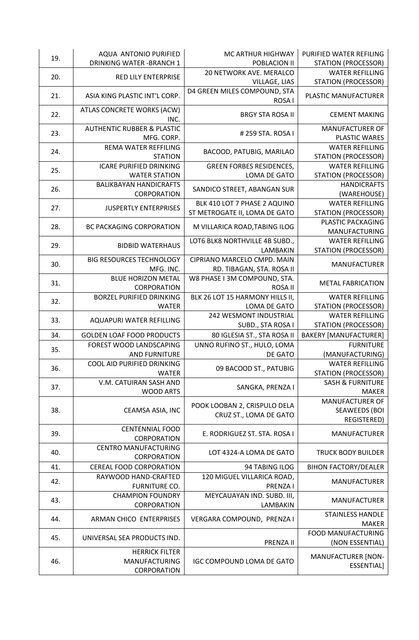| 19. | AQUA ANTONIO PURIFIED<br><b>DRINKING WATER - BRANCH 1</b>    | MC ARTHUR HIGHWAY<br>POBLACION II                             | PURIFIED WATER REFILING<br><b>STATION (PROCESSOR)</b>         |
|-----|--------------------------------------------------------------|---------------------------------------------------------------|---------------------------------------------------------------|
| 20. | <b>RED LILY ENTERPRISE</b>                                   | 20 NETWORK AVE. MERALCO<br>VILLAGE, LIAS                      | <b>WATER REFILLING</b><br><b>STATION (PROCESSOR)</b>          |
| 21. | ASIA KING PLASTIC INT'L CORP.                                | D4 GREEN MILES COMPOUND, STA<br>ROSA I                        | PLASTIC MANUFACTURER                                          |
| 22. | ATLAS CONCRETE WORKS (ACW)<br>INC.                           | <b>BRGY STA ROSA II</b>                                       | <b>CEMENT MAKING</b>                                          |
| 23. | <b>AUTHENTIC RUBBER &amp; PLASTIC</b><br>MFG. CORP.          | #259 STA. ROSA I                                              | <b>MANUFACTURER OF</b><br><b>PLASTIC WARES</b>                |
| 24. | REMA WATER REFFILING<br><b>STATION</b>                       | BACOOD, PATUBIG, MARILAO                                      | <b>WATER REFILLING</b><br><b>STATION (PROCESSOR)</b>          |
| 25. | <b>ICARE PURIFIED DRINKING</b><br><b>WATER STATION</b>       | <b>GREEN FORBES RESIDENCES,</b><br>LOMA DE GATO               | <b>WATER REFILLING</b><br><b>STATION (PROCESSOR)</b>          |
| 26. | <b>BALIKBAYAN HANDICRAFTS</b><br>CORPORATION                 | SANDICO STREET, ABANGAN SUR                                   | <b>HANDICRAFTS</b><br>(WAREHOUSE)                             |
| 27. | <b>JUSPERTLY ENTERPRISES</b>                                 | BLK 410 LOT 7 PHASE 2 AQUINO<br>ST METROGATE II, LOMA DE GATO | <b>WATER REFILLING</b><br><b>STATION (PROCESSOR)</b>          |
| 28. | <b>BC PACKAGING CORPORATION</b>                              | M VILLARICA ROAD, TABING ILOG                                 | PLASTIC PACKAGING<br><b>MANUFACTURING</b>                     |
| 29. | <b>BIDBID WATERHAUS</b>                                      | LOT6 BLK8 NORTHVILLE 4B SUBD.,<br>LAMBAKIN                    | <b>WATER REFILLING</b><br><b>STATION (PROCESSOR)</b>          |
| 30. | <b>BIG RESOURCES TECHNOLOGY</b><br>MFG. INC.                 | CIPRIANO MARCELO CMPD. MAIN<br>RD. TIBAGAN, STA. ROSA II      | <b>MANUFACTURER</b>                                           |
| 31. | <b>BLUE HORIZON METAL</b><br>CORPORATION                     | W8 PHASE I 3M COMPOUND, STA.<br>ROSA II                       | <b>METAL FABRICATION</b>                                      |
| 32. | <b>BORZEL PURIFIED DRINKING</b><br><b>WATER</b>              | BLK 26 LOT 15 HARMONY HILLS II,<br>LOMA DE GATO               | <b>WATER REFILLING</b><br><b>STATION (PROCESSOR)</b>          |
| 33. | AQUAPURI WATER REFILLING                                     | <b>242 WESMONT INDUSTRIAL</b>                                 | <b>WATER REFILLING</b>                                        |
| 34. | <b>GOLDEN LOAF FOOD PRODUCTS</b>                             | SUBD., STA ROSA I<br>80 IGLESIA ST., STA ROSA II              | <b>STATION (PROCESSOR)</b><br><b>BAKERY [MANUFACTURER]</b>    |
|     | FOREST WOOD LANDSCAPING                                      | UNNO RUFINO ST., HULO, LOMA                                   | <b>FURNITURE</b>                                              |
| 35. | <b>AND FURNITURE</b>                                         | DE GATO                                                       | (MANUFACTURING)                                               |
| 36. | COOL AID PURIFIED DRINKING<br><b>WATER</b>                   | 09 BACOOD ST., PATUBIG                                        | <b>WATER REFILLING</b><br><b>STATION (PROCESSOR)</b>          |
| 37. | V.M. CATUIRAN SASH AND<br><b>WOOD ARTS</b>                   | SANGKA, PRENZA I                                              | <b>SASH &amp; FURNITURE</b><br><b>MAKER</b>                   |
| 38. | CEAMSA ASIA, INC                                             | POOK LOOBAN 2, CRISPULO DELA<br>CRUZ ST., LOMA DE GATO        | <b>MANUFACTURER OF</b><br><b>SEAWEEDS (BOI</b><br>REGISTERED) |
| 39. | <b>CENTENNIAL FOOD</b><br>CORPORATION                        | E. RODRIGUEZ ST. STA. ROSA I                                  | <b>MANUFACTURER</b>                                           |
| 40. | <b>CENTRO MANUFACTURING</b><br>CORPORATION                   | LOT 4324-A LOMA DE GATO                                       | <b>TRUCK BODY BUILDER</b>                                     |
| 41. | <b>CEREAL FOOD CORPORATION</b>                               | 94 TABING ILOG                                                | <b>BIHON FACTORY/DEALER</b>                                   |
| 42. | RAYWOOD HAND-CRAFTED<br>FURNITURE CO.                        | 120 MIGUEL VILLARICA ROAD,<br>PRENZA I                        | <b>MANUFACTURER</b>                                           |
| 43. | <b>CHAMPION FOUNDRY</b><br>CORPORATION                       | MEYCAUAYAN IND. SUBD. III,<br>LAMBAKIN                        | MANUFACTURER                                                  |
| 44. | ARMAN CHICO ENTERPRISES                                      | VERGARA COMPOUND, PRENZA I                                    | <b>STAINLESS HANDLE</b><br><b>MAKER</b>                       |
| 45. | UNIVERSAL SEA PRODUCTS IND.                                  | PRENZA II                                                     | FOOD MANUFACTURING<br>(NON ESSENTIAL)                         |
| 46. | <b>HERRICK FILTER</b><br><b>MANUFACTURING</b><br>CORPORATION | <b>IGC COMPOUND LOMA DE GATO</b>                              | <b>MANUFACTURER [NON-</b><br><b>ESSENTIAL]</b>                |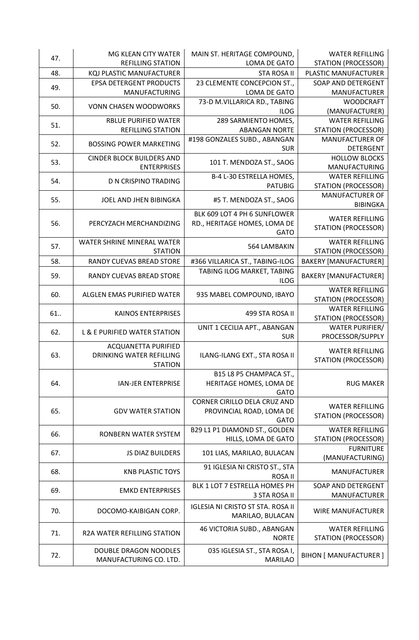| 47. | MG KLEAN CITY WATER                | MAIN ST. HERITAGE COMPOUND,                | <b>WATER REFILLING</b>                         |
|-----|------------------------------------|--------------------------------------------|------------------------------------------------|
|     | <b>REFILLING STATION</b>           | LOMA DE GATO                               | <b>STATION (PROCESSOR)</b>                     |
| 48. | KQJ PLASTIC MANUFACTURER           | <b>STA ROSA II</b>                         | PLASTIC MANUFACTURER                           |
| 49. | <b>EPSA DETERGENT PRODUCTS</b>     | 23 CLEMENTE CONCEPCION ST.,                | SOAP AND DETERGENT                             |
|     | MANUFACTURING                      | LOMA DE GATO                               | <b>MANUFACTURER</b>                            |
| 50. | <b>VONN CHASEN WOODWORKS</b>       | 73-D M.VILLARICA RD., TABING               | <b>WOODCRAFT</b>                               |
|     | <b>RBLUE PURIFIED WATER</b>        | <b>ILOG</b><br>289 SARMIENTO HOMES,        | (MANUFACTURER)<br><b>WATER REFILLING</b>       |
| 51. | <b>REFILLING STATION</b>           | <b>ABANGAN NORTE</b>                       | <b>STATION (PROCESSOR)</b>                     |
|     |                                    | #198 GONZALES SUBD., ABANGAN               | MANUFACTURER OF                                |
| 52. | <b>BOSSING POWER MARKETING</b>     | <b>SUR</b>                                 | <b>DETERGENT</b>                               |
|     | <b>CINDER BLOCK BUILDERS AND</b>   |                                            | <b>HOLLOW BLOCKS</b>                           |
| 53. | <b>ENTERPRISES</b>                 | 101 T. MENDOZA ST., SAOG                   | MANUFACTURING                                  |
| 54. | D N CRISPINO TRADING               | B-4 L-30 ESTRELLA HOMES,                   | <b>WATER REFILLING</b>                         |
|     |                                    | <b>PATUBIG</b>                             | <b>STATION (PROCESSOR)</b>                     |
| 55. | JOEL AND JHEN BIBINGKA             | #5 T. MENDOZA ST., SAOG                    | <b>MANUFACTURER OF</b>                         |
|     |                                    | BLK 609 LOT 4 PH 6 SUNFLOWER               | <b>BIBINGKA</b>                                |
| 56. | PERCYZACH MERCHANDIZING            | RD., HERITAGE HOMES, LOMA DE               | <b>WATER REFILLING</b>                         |
|     |                                    | <b>GATO</b>                                | <b>STATION (PROCESSOR)</b>                     |
|     | WATER SHRINE MINERAL WATER         |                                            | <b>WATER REFILLING</b>                         |
| 57. | <b>STATION</b>                     | 564 LAMBAKIN                               | <b>STATION (PROCESSOR)</b>                     |
| 58. | RANDY CUEVAS BREAD STORE           | #366 VILLARICA ST., TABING-ILOG            | <b>BAKERY [MANUFACTURER]</b>                   |
|     |                                    | TABING ILOG MARKET, TABING                 |                                                |
| 59. | RANDY CUEVAS BREAD STORE           | <b>ILOG</b>                                | <b>BAKERY [MANUFACTURER]</b>                   |
| 60. | ALGLEN EMAS PURIFIED WATER         | 935 MABEL COMPOUND, IBAYO                  | <b>WATER REFILLING</b>                         |
|     |                                    |                                            | <b>STATION (PROCESSOR)</b>                     |
| 61. | <b>KAINOS ENTERPRISES</b>          | 499 STA ROSA II                            | <b>WATER REFILLING</b>                         |
|     |                                    |                                            | <b>STATION (PROCESSOR)</b>                     |
| 62. | L & E PURIFIED WATER STATION       | UNIT 1 CECILIA APT., ABANGAN<br><b>SUR</b> | <b>WATER PURIFIER/</b><br>PROCESSOR/SUPPLY     |
|     | ACQUANETTA PURIFIED                |                                            |                                                |
| 63. | DRINKING WATER REFILLING           | ILANG-ILANG EXT., STA ROSA II              | <b>WATER REFILLING</b>                         |
|     | <b>STATION</b>                     |                                            | STATION (PROCESSOR)                            |
|     |                                    | B15 L8 P5 CHAMPACA ST.,                    |                                                |
| 64. | <b>IAN-JER ENTERPRISE</b>          | HERITAGE HOMES, LOMA DE                    | <b>RUG MAKER</b>                               |
|     |                                    | <b>GATO</b>                                |                                                |
|     |                                    | CORNER CIRILLO DELA CRUZ AND               |                                                |
| 65. |                                    |                                            | <b>WATER REFILLING</b>                         |
|     | <b>GDV WATER STATION</b>           | PROVINCIAL ROAD, LOMA DE                   | <b>STATION (PROCESSOR)</b>                     |
|     |                                    | <b>GATO</b>                                |                                                |
| 66. | RONBERN WATER SYSTEM               | B29 L1 P1 DIAMOND ST., GOLDEN              | <b>WATER REFILLING</b>                         |
|     |                                    | HILLS, LOMA DE GATO                        | <b>STATION (PROCESSOR)</b><br><b>FURNITURE</b> |
| 67. | JS DIAZ BUILDERS                   | 101 LIAS, MARILAO, BULACAN                 | (MANUFACTURING)                                |
|     |                                    | 91 IGLESIA NI CRISTO ST., STA              |                                                |
| 68. | <b>KNB PLASTIC TOYS</b>            | ROSA II                                    | <b>MANUFACTURER</b>                            |
|     |                                    | BLK 1 LOT 7 ESTRELLA HOMES PH              | SOAP AND DETERGENT                             |
| 69. | <b>EMKD ENTERPRISES</b>            | 3 STA ROSA II                              | MANUFACTURER                                   |
| 70. | DOCOMO-KAIBIGAN CORP.              | <b>IGLESIA NI CRISTO ST STA. ROSA II</b>   | <b>WIRE MANUFACTURER</b>                       |
|     |                                    | MARILAO, BULACAN                           |                                                |
|     |                                    | 46 VICTORIA SUBD., ABANGAN                 | <b>WATER REFILLING</b>                         |
| 71. | <b>R2A WATER REFILLING STATION</b> | <b>NORTE</b>                               | <b>STATION (PROCESSOR)</b>                     |
| 72. | DOUBLE DRAGON NOODLES              | 035 IGLESIA ST., STA ROSA I,               | <b>BIHON [ MANUFACTURER ]</b>                  |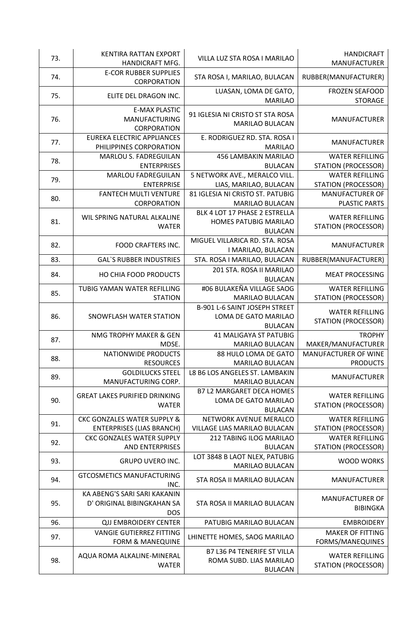| 73. | KENTIRA RATTAN EXPORT<br>HANDICRAFT MFG.                                   | VILLA LUZ STA ROSA I MARILAO                                                    | <b>HANDICRAFT</b><br>MANUFACTURER                    |
|-----|----------------------------------------------------------------------------|---------------------------------------------------------------------------------|------------------------------------------------------|
| 74. | <b>E-COR RUBBER SUPPLIES</b><br>CORPORATION                                | STA ROSA I, MARILAO, BULACAN                                                    | RUBBER(MANUFACTURER)                                 |
| 75. | ELITE DEL DRAGON INC.                                                      | LUASAN, LOMA DE GATO,<br><b>MARILAO</b>                                         | <b>FROZEN SEAFOOD</b><br><b>STORAGE</b>              |
| 76. | <b>E-MAX PLASTIC</b><br>MANUFACTURING<br><b>CORPORATION</b>                | 91 IGLESIA NI CRISTO ST STA ROSA<br><b>MARILAO BULACAN</b>                      | MANUFACTURER                                         |
| 77. | <b>EUREKA ELECTRIC APPLIANCES</b><br>PHILIPPINES CORPORATION               | E. RODRIGUEZ RD. STA. ROSA I<br><b>MARILAO</b>                                  | <b>MANUFACTURER</b>                                  |
| 78. | MARLOU S. FADREGUILAN<br><b>ENTERPRISES</b>                                | 456 LAMBAKIN MARILAO<br><b>BULACAN</b>                                          | <b>WATER REFILLING</b><br><b>STATION (PROCESSOR)</b> |
| 79. | <b>MARLOU FADREGUILAN</b><br><b>ENTERPRISE</b>                             | 5 NETWORK AVE., MERALCO VILL.<br>LIAS, MARILAO, BULACAN                         | <b>WATER REFILLING</b><br><b>STATION (PROCESSOR)</b> |
| 80. | <b>FANTECH MULTI VENTURE</b><br>CORPORATION                                | 81 IGLESIA NI CRISTO ST. PATUBIG<br><b>MARILAO BULACAN</b>                      | <b>MANUFACTURER OF</b><br><b>PLASTIC PARTS</b>       |
| 81. | WIL SPRING NATURAL ALKALINE<br><b>WATER</b>                                | BLK 4 LOT 17 PHASE 2 ESTRELLA<br>HOMES PATUBIG MARILAO<br><b>BULACAN</b>        | <b>WATER REFILLING</b><br><b>STATION (PROCESSOR)</b> |
| 82. | FOOD CRAFTERS INC.                                                         | MIGUEL VILLARICA RD. STA. ROSA<br>I MARILAO, BULACAN                            | <b>MANUFACTURER</b>                                  |
| 83. | <b>GAL'S RUBBER INDUSTRIES</b>                                             | STA. ROSA I MARILAO, BULACAN                                                    | RUBBER(MANUFACTURER)                                 |
| 84. | HO CHIA FOOD PRODUCTS                                                      | 201 STA. ROSA II MARILAO<br><b>BULACAN</b>                                      | <b>MEAT PROCESSING</b>                               |
| 85. | TUBIG YAMAN WATER REFILLING<br><b>STATION</b>                              | #06 BULAKEÑA VILLAGE SAOG<br><b>MARILAO BULACAN</b>                             | <b>WATER REFILLING</b><br><b>STATION (PROCESSOR)</b> |
| 86. | SNOWFLASH WATER STATION                                                    | B-901 L-6 SAINT JOSEPH STREET<br>LOMA DE GATO MARILAO<br><b>BULACAN</b>         | <b>WATER REFILLING</b><br><b>STATION (PROCESSOR)</b> |
| 87. | NMG TROPHY MAKER & GEN<br>MDSE.                                            | <b>41 MALIGAYA ST PATUBIG</b><br>MARILAO BULACAN                                | <b>TROPHY</b><br>MAKER/MANUFACTURER                  |
| 88. | NATIONWIDE PRODUCTS<br><b>RESOURCES</b>                                    | 88 HULO LOMA DE GATO<br><b>MARILAO BULACAN</b>                                  | MANUFACTURER OF WINE<br><b>PRODUCTS</b>              |
| 89. | <b>GOLDILUCKS STEEL</b><br>MANUFACTURING CORP.                             | L8 B6 LOS ANGELES ST. LAMBAKIN<br><b>MARILAO BULACAN</b>                        | <b>MANUFACTURER</b>                                  |
| 90. | <b>GREAT LAKES PURIFIED DRINKING</b><br><b>WATER</b>                       | <b>B7 L2 MARGARET DECA HOMES</b><br>LOMA DE GATO MARILAO<br><b>BULACAN</b>      | <b>WATER REFILLING</b><br><b>STATION (PROCESSOR)</b> |
| 91. | <b>CKC GONZALES WATER SUPPLY &amp;</b><br><b>ENTERPRISES (LIAS BRANCH)</b> | NETWORK AVENUE MERALCO<br>VILLAGE LIAS MARILAO BULACAN                          | <b>WATER REFILLING</b><br><b>STATION (PROCESSOR)</b> |
| 92. | <b>CKC GONZALES WATER SUPPLY</b><br><b>AND ENTERPRISES</b>                 | 212 TABING ILOG MARILAO<br><b>BULACAN</b>                                       | <b>WATER REFILLING</b><br><b>STATION (PROCESSOR)</b> |
| 93. | <b>GRUPO UVERO INC.</b>                                                    | LOT 3848 B LAOT NLEX, PATUBIG<br><b>MARILAO BULACAN</b>                         | <b>WOOD WORKS</b>                                    |
| 94. | <b>GTCOSMETICS MANUFACTURING</b><br>INC.                                   | STA ROSA II MARILAO BULACAN                                                     | <b>MANUFACTURER</b>                                  |
| 95. | KA ABENG'S SARI SARI KAKANIN<br>D' ORIGINAL BIBINGKAHAN SA<br><b>DOS</b>   | STA ROSA II MARILAO BULACAN                                                     | <b>MANUFACTURER OF</b><br><b>BIBINGKA</b>            |
| 96. | <b>QJJ EMBROIDERY CENTER</b>                                               | PATUBIG MARILAO BULACAN                                                         | <b>EMBROIDERY</b>                                    |
| 97. | <b>VANGIE GUTIERREZ FITTING</b><br><b>FORM &amp; MANEQUINE</b>             | LHINETTE HOMES, SAOG MARILAO                                                    | <b>MAKER OF FITTING</b><br>FORMS/MANEQUINES          |
| 98. | AQUA ROMA ALKALINE-MINERAL<br><b>WATER</b>                                 | <b>B7 L36 P4 TENERIFE ST VILLA</b><br>ROMA SUBD. LIAS MARILAO<br><b>BULACAN</b> | <b>WATER REFILLING</b><br><b>STATION (PROCESSOR)</b> |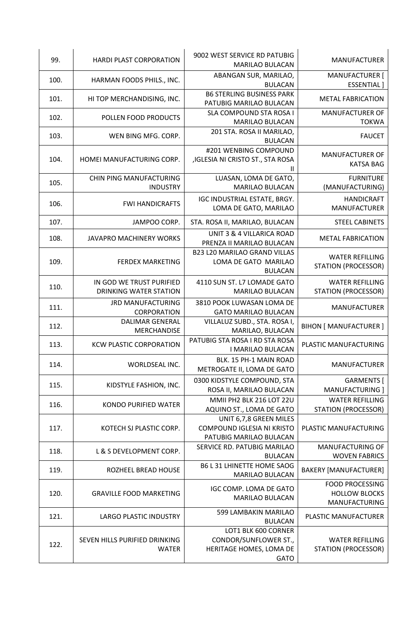| 99.  | <b>HARDI PLAST CORPORATION</b>                     | 9002 WEST SERVICE RD PATUBIG<br><b>MARILAO BULACAN</b>                                 | <b>MANUFACTURER</b>                                             |
|------|----------------------------------------------------|----------------------------------------------------------------------------------------|-----------------------------------------------------------------|
| 100. | HARMAN FOODS PHILS., INC.                          | ABANGAN SUR, MARILAO,<br><b>BULACAN</b>                                                | MANUFACTURER [<br><b>ESSENTIAL</b> ]                            |
| 101. | HI TOP MERCHANDISING, INC.                         | <b>B6 STERLING BUSINESS PARK</b><br>PATUBIG MARILAO BULACAN                            | <b>METAL FABRICATION</b>                                        |
| 102. | POLLEN FOOD PRODUCTS                               | SLA COMPOUND STA ROSA I<br><b>MARILAO BULACAN</b>                                      | <b>MANUFACTURER OF</b><br><b>TOKWA</b>                          |
| 103. | WEN BING MFG. CORP.                                | 201 STA. ROSA II MARILAO,<br><b>BULACAN</b>                                            | <b>FAUCET</b>                                                   |
| 104. | HOMEI MANUFACTURING CORP.                          | #201 WENBING COMPOUND<br>, IGLESIA NI CRISTO ST., STA ROSA                             | <b>MANUFACTURER OF</b><br><b>KATSA BAG</b>                      |
| 105. | CHIN PING MANUFACTURING<br><b>INDUSTRY</b>         | LUASAN, LOMA DE GATO,<br><b>MARILAO BULACAN</b>                                        | <b>FURNITURE</b><br>(MANUFACTURING)                             |
| 106. | <b>FWI HANDICRAFTS</b>                             | IGC INDUSTRIAL ESTATE, BRGY.<br>LOMA DE GATO, MARILAO                                  | <b>HANDICRAFT</b><br><b>MANUFACTURER</b>                        |
| 107. | JAMPOO CORP.                                       | STA. ROSA II, MARILAO, BULACAN                                                         | <b>STEEL CABINETS</b>                                           |
| 108. | <b>JAVAPRO MACHINERY WORKS</b>                     | UNIT 3 & 4 VILLARICA ROAD<br>PRENZA II MARILAO BULACAN                                 | <b>METAL FABRICATION</b>                                        |
| 109. | <b>FERDEX MARKETING</b>                            | <b>B23 L20 MARILAO GRAND VILLAS</b><br>LOMA DE GATO MARILAO<br><b>BULACAN</b>          | <b>WATER REFILLING</b><br><b>STATION (PROCESSOR)</b>            |
| 110. | IN GOD WE TRUST PURIFIED<br>DRINKING WATER STATION | 4110 SUN ST. L7 LOMADE GATO<br><b>MARILAO BULACAN</b>                                  | <b>WATER REFILLING</b><br><b>STATION (PROCESSOR)</b>            |
| 111. | <b>JRD MANUFACTURING</b><br>CORPORATION            | 3810 POOK LUWASAN LOMA DE<br><b>GATO MARILAO BULACAN</b>                               | <b>MANUFACTURER</b>                                             |
| 112. | <b>DALIMAR GENERAL</b><br><b>MERCHANDISE</b>       | VILLALUZ SUBD., STA. ROSA I,<br>MARILAO, BULACAN                                       | <b>BIHON [ MANUFACTURER ]</b>                                   |
| 113. | <b>KCW PLASTIC CORPORATION</b>                     | PATUBIG STA ROSA I RD STA ROSA<br>I MARILAO BULACAN                                    | PLASTIC MANUFACTURING                                           |
| 114. | WORLDSEAL INC.                                     | BLK. 15 PH-1 MAIN ROAD<br>METROGATE II, LOMA DE GATO                                   | <b>MANUFACTURER</b>                                             |
| 115. | KIDSTYLE FASHION, INC.                             | 0300 KIDSTYLE COMPOUND, STA<br>ROSA II, MARILAO BULACAN                                | GARMENTS [<br>MANUFACTURING ]                                   |
| 116. | <b>KONDO PURIFIED WATER</b>                        | MMII PH2 BLK 216 LOT 22U<br>AQUINO ST., LOMA DE GATO                                   | <b>WATER REFILLING</b><br><b>STATION (PROCESSOR)</b>            |
| 117. | KOTECH SJ PLASTIC CORP.                            | UNIT 6,7,8 GREEN MILES<br>COMPOUND IGLESIA NI KRISTO<br>PATUBIG MARILAO BULACAN        | PLASTIC MANUFACTURING                                           |
| 118. | L & S DEVELOPMENT CORP.                            | SERVICE RD. PATUBIG MARILAO<br><b>BULACAN</b>                                          | MANUFACTURING OF<br><b>WOVEN FABRICS</b>                        |
| 119. | ROZHEEL BREAD HOUSE                                | <b>B6 L 31 LHINETTE HOME SAOG</b><br><b>MARILAO BULACAN</b>                            | <b>BAKERY [MANUFACTURER]</b>                                    |
| 120. | <b>GRAVILLE FOOD MARKETING</b>                     | IGC COMP. LOMA DE GATO<br><b>MARILAO BULACAN</b>                                       | <b>FOOD PROCESSING</b><br><b>HOLLOW BLOCKS</b><br>MANUFACTURING |
| 121. | <b>LARGO PLASTIC INDUSTRY</b>                      | 599 LAMBAKIN MARILAO<br><b>BULACAN</b>                                                 | PLASTIC MANUFACTURER                                            |
| 122. | SEVEN HILLS PURIFIED DRINKING<br><b>WATER</b>      | LOT1 BLK 600 CORNER<br>CONDOR/SUNFLOWER ST.,<br>HERITAGE HOMES, LOMA DE<br><b>GATO</b> | <b>WATER REFILLING</b><br><b>STATION (PROCESSOR)</b>            |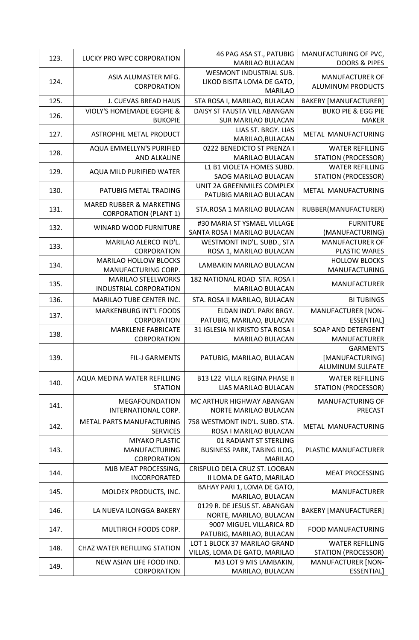| 123. | LUCKY PRO WPC CORPORATION            | 46 PAG ASA ST., PATUBIG<br><b>MARILAO BULACAN</b>                              | MANUFACTURING OF PVC,<br><b>DOORS &amp; PIPES</b> |
|------|--------------------------------------|--------------------------------------------------------------------------------|---------------------------------------------------|
| 124. | ASIA ALUMASTER MFG.<br>CORPORATION   | <b>WESMONT INDUSTRIAL SUB.</b><br>LIKOD BISITA LOMA DE GATO,<br><b>MARILAO</b> | MANUFACTURER OF<br>ALUMINUM PRODUCTS              |
| 125. | <b>J. CUEVAS BREAD HAUS</b>          | STA ROSA I, MARILAO, BULACAN                                                   | <b>BAKERY [MANUFACTURER]</b>                      |
|      | <b>VIOLY'S HOMEMADE EGGPIE &amp;</b> | DAISY ST FAUSTA VILL ABANGAN                                                   | <b>BUKO PIE &amp; EGG PIE</b>                     |
| 126. | <b>BUKOPIE</b>                       | <b>SUR MARILAO BULACAN</b>                                                     | <b>MAKER</b>                                      |
| 127. | ASTROPHIL METAL PRODUCT              | LIAS ST. BRGY. LIAS<br>MARILAO, BULACAN                                        | METAL MANUFACTURING                               |
| 128. | <b>AQUA EMMELLYN'S PURIFIED</b>      | 0222 BENEDICTO ST PRENZA I                                                     | <b>WATER REFILLING</b>                            |
|      | <b>AND ALKALINE</b>                  | MARILAO BULACAN                                                                | <b>STATION (PROCESSOR)</b>                        |
| 129. | AQUA MILD PURIFIED WATER             | L1 B1 VIOLETA HOMES SUBD.                                                      | <b>WATER REFILLING</b>                            |
|      |                                      | SAOG MARILAO BULACAN                                                           | <b>STATION (PROCESSOR)</b>                        |
| 130. | PATUBIG METAL TRADING                | UNIT 2A GREENMILES COMPLEX<br>PATUBIG MARILAO BULACAN                          | METAL MANUFACTURING                               |
| 131. | <b>MARED RUBBER &amp; MARKETING</b>  | STA.ROSA 1 MARILAO BULACAN                                                     | RUBBER(MANUFACTURER)                              |
|      | <b>CORPORATION (PLANT 1)</b>         |                                                                                |                                                   |
| 132. | <b>WINARD WOOD FURNITURE</b>         | #30 MARIA ST YSMAEL VILLAGE                                                    | <b>FURNITURE</b>                                  |
|      |                                      | SANTA ROSA I MARILAO BULACAN                                                   | (MANUFACTURING)                                   |
| 133. | MARILAO ALERCO IND'L.                | WESTMONT IND'L. SUBD., STA                                                     | <b>MANUFACTURER OF</b>                            |
|      | <b>CORPORATION</b>                   | ROSA 1, MARILAO BULACAN                                                        | <b>PLASTIC WARES</b>                              |
| 134. | <b>MARILAO HOLLOW BLOCKS</b>         | LAMBAKIN MARILAO BULACAN                                                       | <b>HOLLOW BLOCKS</b>                              |
|      | MANUFACTURING CORP.                  |                                                                                | MANUFACTURING                                     |
| 135. | <b>MARILAO STEELWORKS</b>            | 182 NATIONAL ROAD STA. ROSA I                                                  | <b>MANUFACTURER</b>                               |
|      | <b>INDUSTRIAL CORPORATION</b>        | <b>MARILAO BULACAN</b>                                                         |                                                   |
| 136. | <b>MARILAO TUBE CENTER INC.</b>      | STA. ROSA II MARILAO, BULACAN                                                  | <b>BI TUBINGS</b>                                 |
| 137. | <b>MARKENBURG INT'L FOODS</b>        | ELDAN IND'L PARK BRGY.                                                         | <b>MANUFACTURER [NON-</b>                         |
|      | CORPORATION                          | PATUBIG, MARILAO, BULACAN                                                      | ESSENTIAL]                                        |
| 138. | <b>MARKLENE FABRICATE</b>            | 31 IGLESIA NI KRISTO STA ROSA I                                                | SOAP AND DETERGENT                                |
|      | CORPORATION                          | <b>MARILAO BULACAN</b>                                                         | <b>MANUFACTURER</b>                               |
| 139. | FIL-J GARMENTS                       | PATUBIG, MARILAO, BULACAN                                                      | <b>GARMENTS</b><br>[MANUFACTURING]                |
|      |                                      |                                                                                | <b>ALUMINUM SULFATE</b>                           |
| 140. | AQUA MEDINA WATER REFILLING          | <b>B13 L22 VILLA REGINA PHASE II</b>                                           | <b>WATER REFILLING</b>                            |
|      | <b>STATION</b>                       | LIAS MARILAO BULACAN                                                           | <b>STATION (PROCESSOR)</b>                        |
|      | <b>MEGAFOUNDATION</b>                | MC ARTHUR HIGHWAY ABANGAN                                                      | MANUFACTURING OF                                  |
| 141. | INTERNATIONAL CORP.                  | NORTE MARILAO BULACAN                                                          | <b>PRECAST</b>                                    |
|      | METAL PARTS MANUFACTURING            | 758 WESTMONT IND'L. SUBD. STA.                                                 |                                                   |
| 142. | <b>SERVICES</b>                      | ROSA I MARILAO BULACAN                                                         | METAL MANUFACTURING                               |
|      | <b>MIYAKO PLASTIC</b>                | 01 RADIANT ST STERLING                                                         |                                                   |
| 143. | <b>MANUFACTURING</b>                 | <b>BUSINESS PARK, TABING ILOG,</b>                                             | PLASTIC MANUFACTURER                              |
|      | CORPORATION                          | <b>MARILAO</b>                                                                 |                                                   |
|      | MJB MEAT PROCESSING,                 | CRISPULO DELA CRUZ ST. LOOBAN                                                  |                                                   |
| 144. | INCORPORATED                         | II LOMA DE GATO, MARILAO                                                       | <b>MEAT PROCESSING</b>                            |
|      |                                      | BAHAY PARI 1, LOMA DE GATO,                                                    |                                                   |
| 145. | MOLDEX PRODUCTS, INC.                | MARILAO, BULACAN                                                               | MANUFACTURER                                      |
| 146. | LA NUEVA ILONGGA BAKERY              | 0129 R. DE JESUS ST. ABANGAN                                                   | <b>BAKERY [MANUFACTURER]</b>                      |
|      |                                      | NORTE, MARILAO, BULACAN                                                        |                                                   |
| 147. | MULTIRICH FOODS CORP.                | 9007 MIGUEL VILLARICA RD                                                       | <b>FOOD MANUFACTURING</b>                         |
|      |                                      | PATUBIG, MARILAO, BULACAN                                                      |                                                   |
| 148. | <b>CHAZ WATER REFILLING STATION</b>  | LOT 1 BLOCK 37 MARILAO GRAND                                                   | <b>WATER REFILLING</b>                            |
|      |                                      | VILLAS, LOMA DE GATO, MARILAO                                                  | <b>STATION (PROCESSOR)</b>                        |
| 149. | NEW ASIAN LIFE FOOD IND.             | M3 LOT 9 MIS LAMBAKIN,                                                         | <b>MANUFACTURER [NON-</b>                         |
|      | CORPORATION                          | MARILAO, BULACAN                                                               | ESSENTIAL]                                        |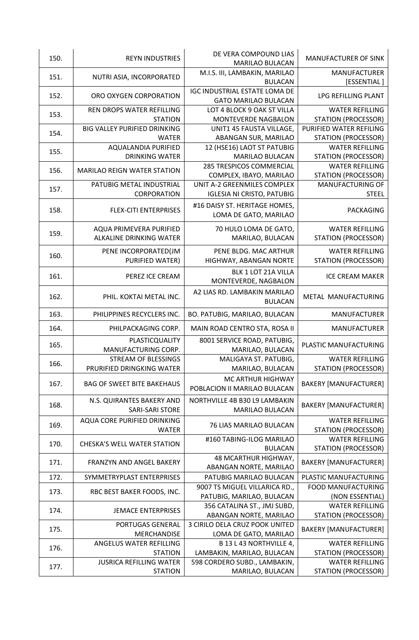| 150. | <b>REYN INDUSTRIES</b>                              | DE VERA COMPOUND LIAS<br><b>MARILAO BULACAN</b>                     | <b>MANUFACTURER OF SINK</b>        |
|------|-----------------------------------------------------|---------------------------------------------------------------------|------------------------------------|
| 151. | NUTRI ASIA, INCORPORATED                            | M.I.S. III, LAMBAKIN, MARILAO<br><b>BULACAN</b>                     | <b>MANUFACTURER</b><br>[ESSENTIAL] |
| 152. | ORO OXYGEN CORPORATION                              | <b>IGC INDUSTRIAL ESTATE LOMA DE</b><br><b>GATO MARILAO BULACAN</b> | LPG REFILLING PLANT                |
|      | REN DROPS WATER REFILLING                           | LOT 4 BLOCK 9 OAK ST VILLA                                          | <b>WATER REFILLING</b>             |
| 153. | <b>STATION</b>                                      | MONTEVERDE NAGBALON                                                 | <b>STATION (PROCESSOR)</b>         |
| 154. | BIG VALLEY PURIFIED DRINKING                        | UNIT1 45 FAUSTA VILLAGE,                                            | PURIFIED WATER REFILING            |
|      | <b>WATER</b>                                        | ABANGAN SUR, MARILAO                                                | <b>STATION (PROCESSOR)</b>         |
| 155. | AQUALANDIA PURIFIED                                 | 12 (HSE16) LAOT ST PATUBIG                                          | <b>WATER REFILLING</b>             |
|      | <b>DRINKING WATER</b>                               | <b>MARILAO BULACAN</b>                                              | <b>STATION (PROCESSOR)</b>         |
| 156. | <b>MARILAO REIGN WATER STATION</b>                  | <b>285 TRESPICOS COMMERCIAL</b>                                     | <b>WATER REFILLING</b>             |
|      |                                                     | COMPLEX, IBAYO, MARILAO                                             | <b>STATION (PROCESSOR)</b>         |
| 157. | PATUBIG METAL INDUSTRIAL                            | UNIT A-2 GREENMILES COMPLEX                                         | MANUFACTURING OF                   |
|      | CORPORATION                                         | <b>IGLESIA NI CRISTO, PATUBIG</b>                                   | <b>STEEL</b>                       |
| 158. | <b>FLEX-CITI ENTERPRISES</b>                        | #16 DAISY ST. HERITAGE HOMES,<br>LOMA DE GATO, MARILAO              | PACKAGING                          |
|      | AQUA PRIMEVERA PURIFIED                             | 70 HULO LOMA DE GATO,                                               | <b>WATER REFILLING</b>             |
| 159. | <b>ALKALINE DRINKING WATER</b>                      | MARILAO, BULACAN                                                    | <b>STATION (PROCESSOR)</b>         |
|      |                                                     |                                                                     |                                    |
| 160. | PENE INCORPORATED(JM                                | PENE BLDG. MAC ARTHUR                                               | <b>WATER REFILLING</b>             |
|      | PURIFIED WATER)                                     | HIGHWAY, ABANGAN NORTE                                              | <b>STATION (PROCESSOR)</b>         |
| 161. | PEREZ ICE CREAM                                     | BLK 1 LOT 21A VILLA<br>MONTEVERDE, NAGBALON                         | <b>ICE CREAM MAKER</b>             |
| 162. | PHIL. KOKTAI METAL INC.                             | A2 LIAS RD. LAMBAKIN MARILAO<br><b>BULACAN</b>                      | METAL MANUFACTURING                |
| 163. | PHILIPPINES RECYCLERS INC.                          | BO. PATUBIG, MARILAO, BULACAN                                       | <b>MANUFACTURER</b>                |
| 164. | PHILPACKAGING CORP.                                 | MAIN ROAD CENTRO STA, ROSA II                                       | <b>MANUFACTURER</b>                |
|      | PLASTICQUALITY                                      | 8001 SERVICE ROAD, PATUBIG,                                         | PLASTIC MANUFACTURING              |
| 165. | MANUFACTURING CORP.                                 | MARILAO, BULACAN                                                    |                                    |
| 166. | <b>STREAM OF BLESSINGS</b>                          | MALIGAYA ST. PATUBIG,                                               | <b>WATER REFILLING</b>             |
|      | PRURIFIED DRINGKING WATER                           | MARILAO, BULACAN                                                    | <b>STATION (PROCESSOR)</b>         |
| 167. | <b>BAG OF SWEET BITE BAKEHAUS</b>                   | MC ARTHUR HIGHWAY<br>POBLACION II MARILAO BULACAN                   | <b>BAKERY [MANUFACTURER]</b>       |
| 168. | N.S. QUIRANTES BAKERY AND<br><b>SARI-SARI STORE</b> | NORTHVILLE 4B B30 L9 LAMBAKIN<br><b>MARILAO BULACAN</b>             | <b>BAKERY [MANUFACTURER]</b>       |
|      | AQUA CORE PURIFIED DRINKING                         |                                                                     | <b>WATER REFILLING</b>             |
| 169. | <b>WATER</b>                                        | 76 LIAS MARILAO BULACAN                                             | <b>STATION (PROCESSOR)</b>         |
|      |                                                     | #160 TABING-ILOG MARILAO                                            | <b>WATER REFILLING</b>             |
| 170. | <b>CHESKA'S WELL WATER STATION</b>                  | <b>BULACAN</b>                                                      | <b>STATION (PROCESSOR)</b>         |
|      |                                                     | 48 MCARTHUR HIGHWAY,                                                |                                    |
| 171. | <b>FRANZYN AND ANGEL BAKERY</b>                     | ABANGAN NORTE, MARILAO                                              | <b>BAKERY [MANUFACTURER]</b>       |
| 172. | SYMMETRYPLAST ENTERPRISES                           | PATUBIG MARILAO BULACAN                                             | PLASTIC MANUFACTURING              |
|      |                                                     | 9007 TS MIGUEL VILLARICA RD.,                                       | <b>FOOD MANUFACTURING</b>          |
| 173. | RBC BEST BAKER FOODS, INC.                          | PATUBIG, MARILAO, BULACAN                                           | (NON ESSENTIAL)                    |
|      |                                                     | 356 CATALINA ST., JMJ SUBD,                                         | <b>WATER REFILLING</b>             |
| 174. | <b>JEMACE ENTERPRISES</b>                           | ABANGAN NORTE, MARILAO                                              | STATION (PROCESSOR)                |
|      | PORTUGAS GENERAL                                    | 3 CIRILO DELA CRUZ POOK UNITED                                      |                                    |
| 175. | <b>MERCHANDISE</b>                                  | LOMA DE GATO, MARILAO                                               | <b>BAKERY [MANUFACTURER]</b>       |
|      | ANGELUS WATER REFILLING                             | B 13 L 43 NORTHVILLE 4,                                             | <b>WATER REFILLING</b>             |
| 176. | <b>STATION</b>                                      | LAMBAKIN, MARILAO, BULACAN                                          | <b>STATION (PROCESSOR)</b>         |
| 177. | <b>JUSRICA REFILLING WATER</b>                      | 598 CORDERO SUBD., LAMBAKIN,                                        | <b>WATER REFILLING</b>             |
|      | <b>STATION</b>                                      | MARILAO, BULACAN                                                    | STATION (PROCESSOR)                |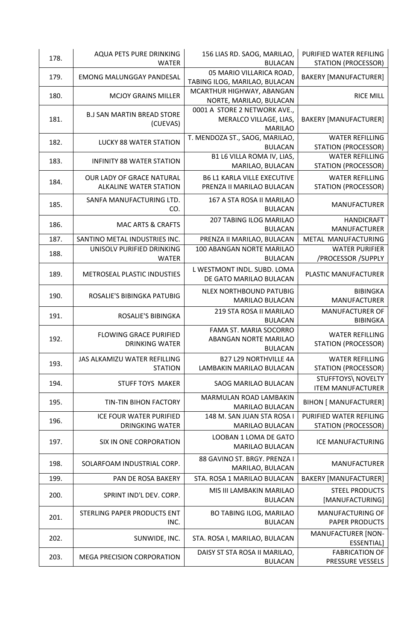| 178. | AQUA PETS PURE DRINKING<br><b>WATER</b>                    | 156 LIAS RD. SAOG, MARILAO,<br><b>BULACAN</b>                            | PURIFIED WATER REFILING<br><b>STATION (PROCESSOR)</b> |
|------|------------------------------------------------------------|--------------------------------------------------------------------------|-------------------------------------------------------|
| 179. | <b>EMONG MALUNGGAY PANDESAL</b>                            | 05 MARIO VILLARICA ROAD,<br>TABING ILOG, MARILAO, BULACAN                | <b>BAKERY [MANUFACTURER]</b>                          |
| 180. | <b>MCJOY GRAINS MILLER</b>                                 | MCARTHUR HIGHWAY, ABANGAN<br>NORTE, MARILAO, BULACAN                     | <b>RICE MILL</b>                                      |
| 181. | <b>B.J SAN MARTIN BREAD STORE</b><br>(CUEVAS)              | 0001 A STORE 2 NETWORK AVE.,<br>MERALCO VILLAGE, LIAS,<br><b>MARILAO</b> | <b>BAKERY [MANUFACTURER]</b>                          |
| 182. | <b>LUCKY 88 WATER STATION</b>                              | T. MENDOZA ST., SAOG, MARILAO,<br><b>BULACAN</b>                         | <b>WATER REFILLING</b><br><b>STATION (PROCESSOR)</b>  |
| 183. | <b>INFINITY 88 WATER STATION</b>                           | B1 L6 VILLA ROMA IV, LIAS,<br>MARILAO, BULACAN                           | <b>WATER REFILLING</b><br><b>STATION (PROCESSOR)</b>  |
| 184. | OUR LADY OF GRACE NATURAL<br><b>ALKALINE WATER STATION</b> | <b>B6 L1 KARLA VILLE EXECUTIVE</b><br>PRENZA II MARILAO BULACAN          | <b>WATER REFILLING</b><br><b>STATION (PROCESSOR)</b>  |
| 185. | SANFA MANUFACTURING LTD.<br>CO.                            | 167 A STA ROSA II MARILAO<br><b>BULACAN</b>                              | <b>MANUFACTURER</b>                                   |
| 186. | <b>MAC ARTS &amp; CRAFTS</b>                               | 207 TABING ILOG MARILAO<br><b>BULACAN</b>                                | <b>HANDICRAFT</b><br><b>MANUFACTURER</b>              |
| 187. | SANTINO METAL INDUSTRIES INC.                              | PRENZA II MARILAO, BULACAN                                               | METAL MANUFACTURING                                   |
| 188. | UNISOLV PURIFIED DRINKING<br><b>WATER</b>                  | 100 ABANGAN NORTE MARILAO<br><b>BULACAN</b>                              | <b>WATER PURIFIER</b><br>/PROCESSOR / SUPPLY          |
| 189. | METROSEAL PLASTIC INDUSTIES                                | L WESTMONT INDL. SUBD. LOMA<br>DE GATO MARILAO BULACAN                   | PLASTIC MANUFACTURER                                  |
| 190. | ROSALIE'S BIBINGKA PATUBIG                                 | <b>NLEX NORTHBOUND PATUBIG</b><br><b>MARILAO BULACAN</b>                 | <b>BIBINGKA</b><br><b>MANUFACTURER</b>                |
|      |                                                            | 219 STA ROSA II MARILAO                                                  | <b>MANUFACTURER OF</b>                                |
| 191. | ROSALIE'S BIBINGKA                                         | <b>BULACAN</b>                                                           | <b>BIBINGKA</b>                                       |
| 192. | <b>FLOWING GRACE PURIFIED</b><br><b>DRINKING WATER</b>     | FAMA ST. MARIA SOCORRO<br>ABANGAN NORTE MARILAO<br><b>BULACAN</b>        | <b>WATER REFILLING</b><br><b>STATION (PROCESSOR)</b>  |
| 193. | JAS ALKAMIZU WATER REFILLING<br><b>STATION</b>             | <b>B27 L29 NORTHVILLE 4A</b><br>LAMBAKIN MARILAO BULACAN                 | <b>WATER REFILLING</b><br><b>STATION (PROCESSOR)</b>  |
| 194. | <b>STUFF TOYS MAKER</b>                                    | <b>SAOG MARILAO BULACAN</b>                                              | <b>STUFFTOYS\ NOVELTY</b><br><b>ITEM MANUFACTURER</b> |
| 195. | TIN-TIN BIHON FACTORY                                      | MARMULAN ROAD LAMBAKIN<br>MARILAO BULACAN                                | <b>BIHON [ MANUFACTURER]</b>                          |
| 196. | ICE FOUR WATER PURIFIED<br><b>DRINGKING WATER</b>          | 148 M. SAN JUAN STA ROSA I<br>MARILAO BULACAN                            | PURIFIED WATER REFILING<br><b>STATION (PROCESSOR)</b> |
| 197. | SIX IN ONE CORPORATION                                     | LOOBAN 1 LOMA DE GATO<br>MARILAO BULACAN                                 | ICE MANUFACTURING                                     |
| 198. | SOLARFOAM INDUSTRIAL CORP.                                 | 88 GAVINO ST. BRGY. PRENZA I<br>MARILAO, BULACAN                         | <b>MANUFACTURER</b>                                   |
| 199. | PAN DE ROSA BAKERY                                         | STA. ROSA 1 MARILAO BULACAN                                              | <b>BAKERY [MANUFACTURER]</b>                          |
| 200. | SPRINT IND'L DEV. CORP.                                    | MIS III LAMBAKIN MARILAO<br><b>BULACAN</b>                               | <b>STEEL PRODUCTS</b><br>[MANUFACTURING]              |
| 201. | STERLING PAPER PRODUCTS ENT<br>INC.                        | <b>BO TABING ILOG, MARILAO</b><br><b>BULACAN</b>                         | MANUFACTURING OF<br><b>PAPER PRODUCTS</b>             |
| 202. | SUNWIDE, INC.                                              | STA. ROSA I, MARILAO, BULACAN                                            | <b>MANUFACTURER [NON-</b><br>ESSENTIAL]               |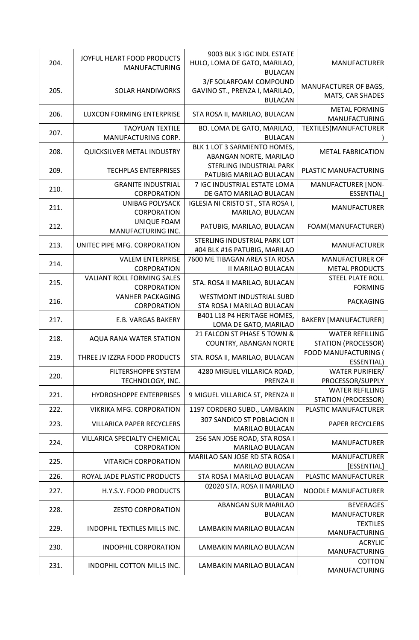| 204. | JOYFUL HEART FOOD PRODUCTS<br>MANUFACTURING      | 9003 BLK 3 IGC INDL ESTATE<br>HULO, LOMA DE GATO, MARILAO,<br><b>BULACAN</b> | <b>MANUFACTURER</b>                                  |
|------|--------------------------------------------------|------------------------------------------------------------------------------|------------------------------------------------------|
| 205. | <b>SOLAR HANDIWORKS</b>                          | 3/F SOLARFOAM COMPOUND<br>GAVINO ST., PRENZA I, MARILAO,<br><b>BULACAN</b>   | MANUFACTURER OF BAGS,<br>MATS, CAR SHADES            |
| 206. | LUXCON FORMING ENTERPRISE                        | STA ROSA II, MARILAO, BULACAN                                                | <b>METAL FORMING</b><br><b>MANUFACTURING</b>         |
| 207. | <b>TAOYUAN TEXTILE</b><br>MANUFACTURING CORP.    | BO. LOMA DE GATO, MARILAO,<br><b>BULACAN</b>                                 | TEXTILES(MANUFACTURER                                |
| 208. | QUICKSILVER METAL INDUSTRY                       | BLK 1 LOT 3 SARMIENTO HOMES,<br>ABANGAN NORTE, MARILAO                       | <b>METAL FABRICATION</b>                             |
| 209. | <b>TECHPLAS ENTERPRISES</b>                      | STERLING INDUSTRIAL PARK<br>PATUBIG MARILAO BULACAN                          | PLASTIC MANUFACTURING                                |
| 210. | <b>GRANITE INDUSTRIAL</b><br>CORPORATION         | 7 IGC INDUSTRIAL ESTATE LOMA<br>DE GATO MARILAO BULACAN                      | <b>MANUFACTURER [NON-</b><br>ESSENTIAL]              |
| 211. | <b>UNIBAG POLYSACK</b><br>CORPORATION            | IGLESIA NI CRISTO ST., STA ROSA I,<br>MARILAO, BULACAN                       | <b>MANUFACTURER</b>                                  |
| 212. | UNIQUE FOAM<br>MANUFACTURING INC.                | PATUBIG, MARILAO, BULACAN                                                    | FOAM(MANUFACTURER)                                   |
| 213. | UNITEC PIPE MFG. CORPORATION                     | STERLING INDUSTRIAL PARK LOT<br>#04 BLK #16 PATUBIG, MARILAO                 | <b>MANUFACTURER</b>                                  |
| 214. | <b>VALEM ENTERPRISE</b><br>CORPORATION           | 7600 ME TIBAGAN AREA STA ROSA<br><b>II MARILAO BULACAN</b>                   | <b>MANUFACTURER OF</b><br><b>METAL PRODUCTS</b>      |
| 215. | <b>VALIANT ROLL FORMING SALES</b><br>CORPORATION | STA. ROSA II MARILAO, BULACAN                                                | <b>STEEL PLATE ROLL</b><br><b>FORMING</b>            |
| 216. | <b>VANHER PACKAGING</b><br>CORPORATION           | <b>WESTMONT INDUSTRIAL SUBD</b><br>STA ROSA I MARILAO BULACAN                | PACKAGING                                            |
| 217. | <b>E.B. VARGAS BAKERY</b>                        | B401 L18 P4 HERITAGE HOMES,<br>LOMA DE GATO, MARILAO                         | <b>BAKERY [MANUFACTURER]</b>                         |
| 218. | AQUA RANA WATER STATION                          | 21 FALCON ST PHASE 5 TOWN &<br><b>COUNTRY, ABANGAN NORTE</b>                 | <b>WATER REFILLING</b><br><b>STATION (PROCESSOR)</b> |
| 219. | THREE JV IZZRA FOOD PRODUCTS                     | STA. ROSA II, MARILAO, BULACAN                                               | FOOD MANUFACTURING (<br>ESSENTIAL)                   |
| 220. | FILTERSHOPPE SYSTEM<br>TECHNOLOGY, INC.          | 4280 MIGUEL VILLARICA ROAD,<br>PRENZA II                                     | <b>WATER PURIFIER/</b><br>PROCESSOR/SUPPLY           |
| 221. | <b>HYDROSHOPPE ENTERPRISES</b>                   | 9 MIGUEL VILLARICA ST, PRENZA II                                             | <b>WATER REFILLING</b><br>STATION (PROCESSOR)        |
| 222. | <b>VIKRIKA MFG. CORPORATION</b>                  | 1197 CORDERO SUBD., LAMBAKIN                                                 | PLASTIC MANUFACTURER                                 |
| 223. | <b>VILLARICA PAPER RECYCLERS</b>                 | 307 SANDICO ST POBLACION II<br>MARILAO BULACAN                               | <b>PAPER RECYCLERS</b>                               |
| 224. | VILLARICA SPECIALTY CHEMICAL<br>CORPORATION      | 256 SAN JOSE ROAD, STA ROSA I<br><b>MARILAO BULACAN</b>                      | <b>MANUFACTURER</b>                                  |
| 225. | <b>VITARICH CORPORATION</b>                      | MARILAO SAN JOSE RD STA ROSA I<br>MARILAO BULACAN                            | <b>MANUFACTURER</b><br>[ESSENTIAL]                   |
| 226. | ROYAL JADE PLASTIC PRODUCTS                      | STA ROSA I MARILAO BULACAN                                                   | PLASTIC MANUFACTURER                                 |
| 227. | H.Y.S.Y. FOOD PRODUCTS                           | 02020 STA. ROSA II MARILAO<br><b>BULACAN</b>                                 | NOODLE MANUFACTURER                                  |
| 228. | <b>ZESTO CORPORATION</b>                         | <b>ABANGAN SUR MARILAO</b><br><b>BULACAN</b>                                 | <b>BEVERAGES</b><br><b>MANUFACTURER</b>              |
| 229. | INDOPHIL TEXTILES MILLS INC.                     | LAMBAKIN MARILAO BULACAN                                                     | <b>TEXTILES</b><br>MANUFACTURING                     |
| 230. | <b>INDOPHIL CORPORATION</b>                      | LAMBAKIN MARILAO BULACAN                                                     | <b>ACRYLIC</b><br>MANUFACTURING                      |
| 231. | INDOPHIL COTTON MILLS INC.                       | LAMBAKIN MARILAO BULACAN                                                     | <b>COTTON</b><br>MANUFACTURING                       |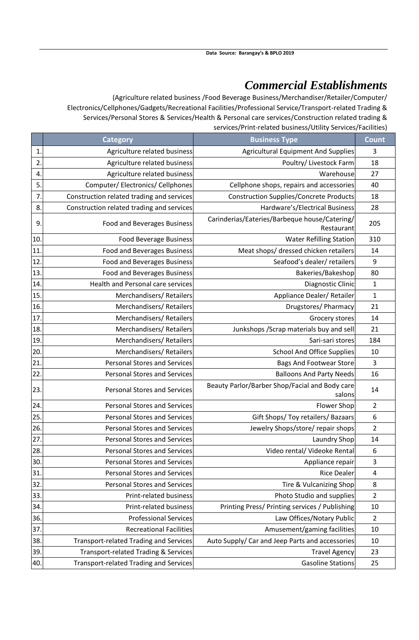### *Commercial Establishments*

(Agriculture related business /Food Beverage Business/Merchandiser/Retailer/Computer/ Electronics/Cellphones/Gadgets/Recreational Facilities/Professional Service/Transport-related Trading & Services/Personal Stores & Services/Health & Personal care services/Construction related trading & services/Print-related business/Utility Services/Facilities)

|                | <b>Category</b>                                 | <b>Business Type</b>                                        | <b>Count</b>     |
|----------------|-------------------------------------------------|-------------------------------------------------------------|------------------|
| 1              | Agriculture related business                    | <b>Agricultural Equipment And Supplies</b>                  | 3                |
| $\mathbf{2}$   | Agriculture related business                    | Poultry/ Livestock Farm                                     | 18               |
| 4.             | Agriculture related business                    | Warehouse                                                   | 27               |
| 5.             | Computer/Electronics/Cellphones                 | Cellphone shops, repairs and accessories                    | 40               |
| $\overline{7}$ | Construction related trading and services       | <b>Construction Supplies/Concrete Products</b>              | 18               |
| 8.             | Construction related trading and services       | Hardware's/Electrical Business                              | 28               |
| 9              | <b>Food and Beverages Business</b>              | Carinderias/Eateries/Barbeque house/Catering/<br>Restaurant | 205              |
| 10.            | <b>Food Beverage Business</b>                   | <b>Water Refilling Station</b>                              | 310              |
| 11             | Food and Beverages Business                     | Meat shops/ dressed chicken retailers                       | 14               |
| 12             | Food and Beverages Business                     | Seafood's dealer/ retailers                                 | 9                |
| 13.            | <b>Food and Beverages Business</b>              | Bakeries/Bakeshop                                           | 80               |
| 14.            | Health and Personal care services               | Diagnostic Clinic                                           | $\mathbf{1}$     |
| 15             | Merchandisers/Retailers                         | Appliance Dealer/ Retailer                                  | $\mathbf{1}$     |
| 16.            | Merchandisers/Retailers                         | Drugstores/ Pharmacy                                        | 21               |
| 17             | Merchandisers/Retailers                         | Grocery stores                                              | 14               |
| 18.            | Merchandisers/Retailers                         | Junkshops / Scrap materials buy and sell                    | 21               |
| 19             | Merchandisers/Retailers                         | Sari-sari stores                                            | 184              |
| 20             | Merchandisers/Retailers                         | <b>School And Office Supplies</b>                           | 10               |
| 21             | <b>Personal Stores and Services</b>             | <b>Bags And Footwear Store</b>                              | $\overline{3}$   |
| 22             | <b>Personal Stores and Services</b>             | <b>Balloons And Party Needs</b>                             | 16               |
| 23.            | <b>Personal Stores and Services</b>             | Beauty Parlor/Barber Shop/Facial and Body care<br>salons    | 14               |
| 24.            | <b>Personal Stores and Services</b>             | Flower Shop                                                 | $\overline{2}$   |
| 25.            | <b>Personal Stores and Services</b>             | Gift Shops/ Toy retailers/ Bazaars                          | $\boldsymbol{6}$ |
| 26.            | <b>Personal Stores and Services</b>             | Jewelry Shops/store/ repair shops                           | $\overline{2}$   |
| 27             | <b>Personal Stores and Services</b>             | Laundry Shop                                                | 14               |
| 28.            | <b>Personal Stores and Services</b>             | Video rental/ Videoke Rental                                | 6                |
| 30.            | <b>Personal Stores and Services</b>             | Appliance repair                                            | 3                |
| 31             | Personal Stores and Services                    | <b>Rice Dealer</b>                                          | $\overline{4}$   |
| 32             | Personal Stores and Services                    | Tire & Vulcanizing Shop                                     | 8                |
| 33.            | Print-related business                          | Photo Studio and supplies                                   | $\overline{2}$   |
| 34.            | Print-related business                          | Printing Press/ Printing services / Publishing              | 10               |
| 36.            | <b>Professional Services</b>                    | Law Offices/Notary Public                                   | $\overline{2}$   |
| 37             | <b>Recreational Facilities</b>                  | Amusement/gaming facilities                                 | 10               |
| 38.            | Transport-related Trading and Services          | Auto Supply/ Car and Jeep Parts and accessories             | 10               |
| 39.            | <b>Transport-related Trading &amp; Services</b> | <b>Travel Agency</b>                                        | 23               |
| 40.            | Transport-related Trading and Services          | <b>Gasoline Stations</b>                                    | 25               |